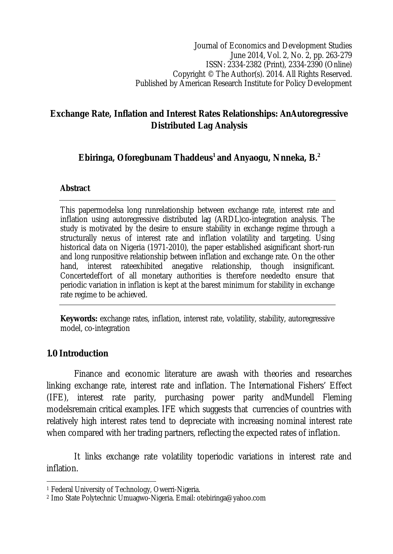# **Exchange Rate, Inflation and Interest Rates Relationships: AnAutoregressive Distributed Lag Analysis**

# **Ebiringa, Oforegbunam Thaddeus<sup>1</sup> and Anyaogu, Nnneka, B.<sup>2</sup>**

# **Abstract**

This papermodelsa long runrelationship between exchange rate, interest rate and inflation using autoregressive distributed lag (ARDL)co-integration analysis. The study is motivated by the desire to ensure stability in exchange regime through a structurally nexus of interest rate and inflation volatility and targeting. Using historical data on Nigeria (1971-2010), the paper established asignificant short-run and long runpositive relationship between inflation and exchange rate. On the other hand, interest rateexhibited anegative relationship, though insignificant. Concertedeffort of all monetary authorities is therefore neededto ensure that periodic variation in inflation is kept at the barest minimum for stability in exchange rate regime to be achieved.

**Keywords:** exchange rates, inflation, interest rate, volatility, stability, autoregressive model, co-integration

# **1.0 Introduction**

 $\overline{\phantom{a}}$ 

Finance and economic literature are awash with theories and researches linking exchange rate, interest rate and inflation. The International Fishers' Effect (IFE), interest rate parity, purchasing power parity andMundell Fleming modelsremain critical examples. IFE which suggests that currencies of countries with relatively high interest rates tend to depreciate with increasing nominal interest rate when compared with her trading partners, reflecting the expected rates of inflation.

It links exchange rate volatility toperiodic variations in interest rate and inflation.

<sup>1</sup> Federal University of Technology, Owerri-Nigeria.

<sup>2</sup> Imo State Polytechnic Umuagwo-Nigeria. Email: otebiringa@yahoo.com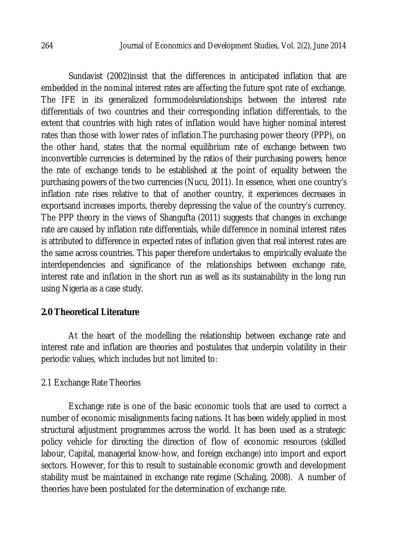Sundavist (2002)insist that the differences in anticipated inflation that are embedded in the nominal interest rates are affecting the future spot rate of exchange. The IFE in its generalized formmodelsrelationships between the interest rate differentials of two countries and their corresponding inflation differentials, to the extent that countries with high rates of inflation would have higher nominal interest rates than those with lower rates of inflation.The purchasing power theory (PPP), on the other hand, states that the normal equilibrium rate of exchange between two inconvertible currencies is determined by the ratios of their purchasing powers; hence the rate of exchange tends to be established at the point of equality between the purchasing powers of the two currencies (Nucu, 2011). In essence, when one country's inflation rate rises relative to that of another country, it experiences decreases in exportsand increases imports, thereby depressing the value of the country's currency. The PPP theory in the views of Shangufta (2011) suggests that changes in exchange rate are caused by inflation rate differentials, while difference in nominal interest rates is attributed to difference in expected rates of inflation given that real interest rates are the same across countries. This paper therefore undertakes to empirically evaluate the interdependencies and significance of the relationships between exchange rate, interest rate and inflation in the short run as well as its sustainability in the long run using Nigeria as a case study.

### **2.0 Theoretical Literature**

At the heart of the modelling the relationship between exchange rate and interest rate and inflation are theories and postulates that underpin volatility in their periodic values, which includes but not limited to:

#### 2.1 Exchange Rate Theories

Exchange rate is one of the basic economic tools that are used to correct a number of economic misalignments facing nations. It has been widely applied in most structural adjustment programmes across the world. It has been used as a strategic policy vehicle for directing the direction of flow of economic resources (skilled labour, Capital, managerial know-how, and foreign exchange) into import and export sectors. However, for this to result to sustainable economic growth and development stability must be maintained in exchange rate regime (Schaling, 2008). A number of theories have been postulated for the determination of exchange rate.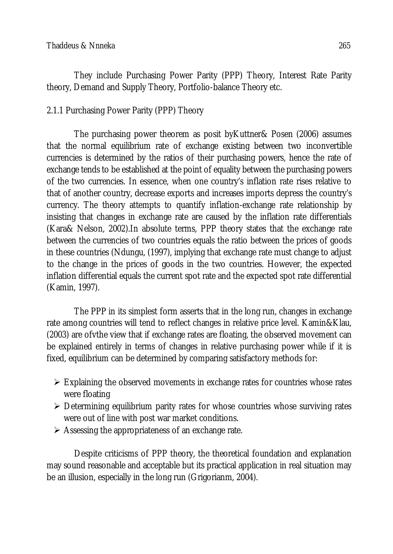They include Purchasing Power Parity (PPP) Theory, Interest Rate Parity theory, Demand and Supply Theory, Portfolio-balance Theory etc.

# 2.1.1 Purchasing Power Parity (PPP) Theory

The purchasing power theorem as posit byKuttner& Posen (2006) assumes that the normal equilibrium rate of exchange existing between two inconvertible currencies is determined by the ratios of their purchasing powers, hence the rate of exchange tends to be established at the point of equality between the purchasing powers of the two currencies. In essence, when one country's inflation rate rises relative to that of another country, decrease exports and increases imports depress the country's currency. The theory attempts to quantify inflation-exchange rate relationship by insisting that changes in exchange rate are caused by the inflation rate differentials (Kara& Nelson, 2002).In absolute terms, PPP theory states that the exchange rate between the currencies of two countries equals the ratio between the prices of goods in these countries (Ndungu, (1997), implying that exchange rate must change to adjust to the change in the prices of goods in the two countries. However, the expected inflation differential equals the current spot rate and the expected spot rate differential (Kamin, 1997).

The PPP in its simplest form asserts that in the long run, changes in exchange rate among countries will tend to reflect changes in relative price level. Kamin&Klau, (2003) are ofvthe view that if exchange rates are floating, the observed movement can be explained entirely in terms of changes in relative purchasing power while if it is fixed, equilibrium can be determined by comparing satisfactory methods for:

- $\triangleright$  Explaining the observed movements in exchange rates for countries whose rates were floating
- $\triangleright$  Determining equilibrium parity rates for whose countries whose surviving rates were out of line with post war market conditions.
- $\triangleright$  Assessing the appropriateness of an exchange rate.

Despite criticisms of PPP theory, the theoretical foundation and explanation may sound reasonable and acceptable but its practical application in real situation may be an illusion, especially in the long run (Grigorianm, 2004).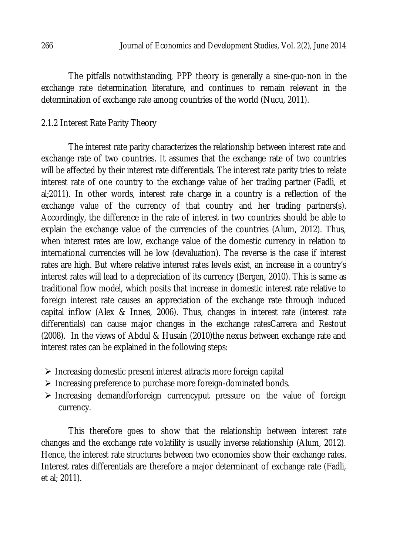The pitfalls notwithstanding, PPP theory is generally a sine-quo-non in the exchange rate determination literature, and continues to remain relevant in the determination of exchange rate among countries of the world (Nucu, 2011).

# 2.1.2 Interest Rate Parity Theory

The interest rate parity characterizes the relationship between interest rate and exchange rate of two countries. It assumes that the exchange rate of two countries will be affected by their interest rate differentials. The interest rate parity tries to relate interest rate of one country to the exchange value of her trading partner (Fadli, et al;2011). In other words, interest rate charge in a country is a reflection of the exchange value of the currency of that country and her trading partners(s). Accordingly, the difference in the rate of interest in two countries should be able to explain the exchange value of the currencies of the countries (Alum, 2012). Thus, when interest rates are low, exchange value of the domestic currency in relation to international currencies will be low (devaluation). The reverse is the case if interest rates are high. But where relative interest rates levels exist, an increase in a country's interest rates will lead to a depreciation of its currency (Bergen, 2010). This is same as traditional flow model, which posits that increase in domestic interest rate relative to foreign interest rate causes an appreciation of the exchange rate through induced capital inflow (Alex & Innes, 2006). Thus, changes in interest rate (interest rate differentials) can cause major changes in the exchange ratesCarrera and Restout (2008). In the views of Abdul & Husain (2010)the nexus between exchange rate and interest rates can be explained in the following steps:

- $\triangleright$  Increasing domestic present interest attracts more foreign capital
- $\triangleright$  Increasing preference to purchase more foreign-dominated bonds.
- $\triangleright$  Increasing demandforforeign currencyput pressure on the value of foreign currency.

This therefore goes to show that the relationship between interest rate changes and the exchange rate volatility is usually inverse relationship (Alum, 2012). Hence, the interest rate structures between two economies show their exchange rates. Interest rates differentials are therefore a major determinant of exchange rate (Fadli, et al; 2011).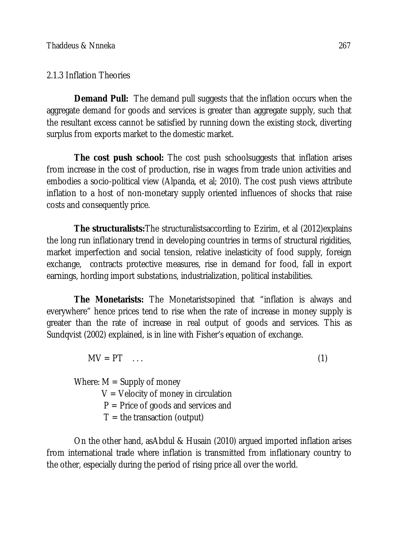### 2.1.3 Inflation Theories

**Demand Pull:** The demand pull suggests that the inflation occurs when the aggregate demand for goods and services is greater than aggregate supply, such that the resultant excess cannot be satisfied by running down the existing stock, diverting surplus from exports market to the domestic market.

**The cost push school:** The cost push schoolsuggests that inflation arises from increase in the cost of production, rise in wages from trade union activities and embodies a socio-political view (Alpanda, et al; 2010). The cost push views attribute inflation to a host of non-monetary supply oriented influences of shocks that raise costs and consequently price.

**The structuralists:** The structuralistsaccording to Ezirim, et al (2012) explains the long run inflationary trend in developing countries in terms of structural rigidities, market imperfection and social tension, relative inelasticity of food supply, foreign exchange, contracts protective measures, rise in demand for food, fall in export earnings, hording import substations, industrialization, political instabilities.

**The Monetarists:** The Monetaristsopined that "inflation is always and everywhere" hence prices tend to rise when the rate of increase in money supply is greater than the rate of increase in real output of goods and services. This as Sundqvist (2002) explained, is in line with Fisher's equation of exchange.

 $MV = PT$  ... (1)

Where:  $M =$  Supply of money

- $V =$  Velocity of money in circulation
- $P =$  Price of goods and services and
- $T =$  the transaction (output)

On the other hand, asAbdul & Husain (2010) argued imported inflation arises from international trade where inflation is transmitted from inflationary country to the other, especially during the period of rising price all over the world.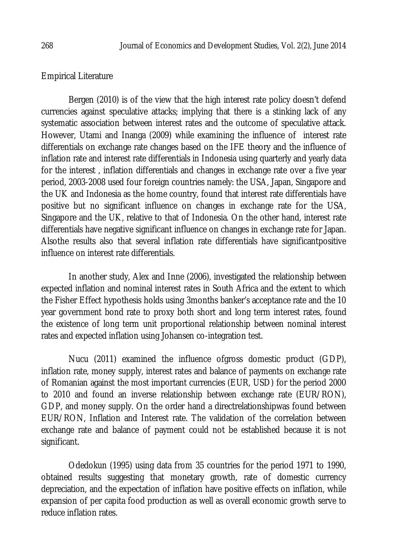#### Empirical Literature

Bergen (2010) is of the view that the high interest rate policy doesn't defend currencies against speculative attacks; implying that there is a stinking lack of any systematic association between interest rates and the outcome of speculative attack. However, Utami and Inanga (2009) while examining the influence of interest rate differentials on exchange rate changes based on the IFE theory and the influence of inflation rate and interest rate differentials in Indonesia using quarterly and yearly data for the interest , inflation differentials and changes in exchange rate over a five year period, 2003-2008 used four foreign countries namely: the USA, Japan, Singapore and the UK and Indonesia as the home country, found that interest rate differentials have positive but no significant influence on changes in exchange rate for the USA, Singapore and the UK, relative to that of Indonesia. On the other hand, interest rate differentials have negative significant influence on changes in exchange rate for Japan. Alsothe results also that several inflation rate differentials have significantpositive influence on interest rate differentials.

In another study, Alex and Inne (2006), investigated the relationship between expected inflation and nominal interest rates in South Africa and the extent to which the Fisher Effect hypothesis holds using 3months banker's acceptance rate and the 10 year government bond rate to proxy both short and long term interest rates, found the existence of long term unit proportional relationship between nominal interest rates and expected inflation using Johansen co-integration test.

Nucu (2011) examined the influence ofgross domestic product (GDP), inflation rate, money supply, interest rates and balance of payments on exchange rate of Romanian against the most important currencies (EUR, USD) for the period 2000 to 2010 and found an inverse relationship between exchange rate (EUR/RON), GDP, and money supply. On the order hand a directrelationshipwas found between EUR/RON, Inflation and Interest rate. The validation of the correlation between exchange rate and balance of payment could not be established because it is not significant.

Odedokun (1995) using data from 35 countries for the period 1971 to 1990, obtained results suggesting that monetary growth, rate of domestic currency depreciation, and the expectation of inflation have positive effects on inflation, while expansion of per capita food production as well as overall economic growth serve to reduce inflation rates.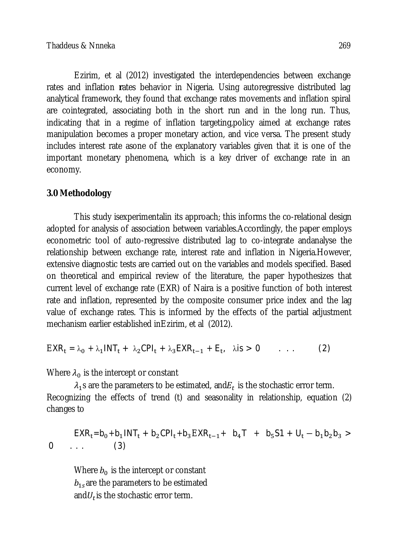Ezirim, et al (2012) investigated the interdependencies between exchange rates and inflation **r**ates behavior in Nigeria. Using autoregressive distributed lag analytical framework, they found that exchange rates movements and inflation spiral are cointegrated, associating both in the short run and in the long run. Thus, indicating that in a regime of inflation targeting,policy aimed at exchange rates manipulation becomes a proper monetary action, and vice versa. The present study includes interest rate asone of the explanatory variables given that it is one of the important monetary phenomena, which is a key driver of exchange rate in an economy.

# **3.0 Methodology**

This study isexperimentalin its approach; this informs the co-relational design adopted for analysis of association between variables.Accordingly, the paper employs econometric tool of auto-regressive distributed lag to co-integrate andanalyse the relationship between exchange rate, interest rate and inflation in Nigeria.However, extensive diagnostic tests are carried out on the variables and models specified. Based on theoretical and empirical review of the literature, the paper hypothesizes that current level of exchange rate (EXR) of Naira is a positive function of both interest rate and inflation, represented by the composite consumer price index and the lag value of exchange rates. This is informed by the effects of the partial adjustment mechanism earlier established inEzirim, et al (2012).

$$
EXR_t = \lambda_0 + \lambda_1 INT_t + \lambda_2 CPI_t + \lambda_3 EXR_{t-1} + E_t, \quad \lambda \text{is} > 0 \quad \dots \tag{2}
$$

Where  $\lambda_0$  is the intercept or constant

 $\lambda_1$ s are the parameters to be estimated, and $E_t$  is the stochastic error term. Recognizing the effects of trend (t) and seasonality in relationship, equation (2) changes to

$$
EXR_t = b_0 + b_1 INT_t + b_2 CPI_t + b_3 EXR_{t-1} + b_4 T + b_5 S1 + U_t - b_1 b_2 b_3 >
$$
  
0 ... (3)

Where  $b_0$  is the intercept or constant  $b_{1s}$ are the parameters to be estimated and $\mathit{U}_t$ is the stochastic error term.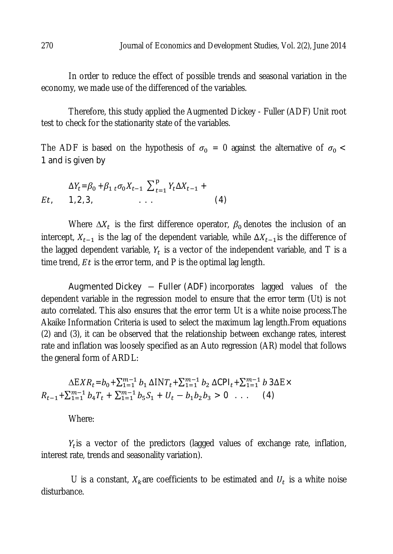In order to reduce the effect of possible trends and seasonal variation in the economy, we made use of the differenced of the variables.

Therefore, this study applied the Augmented Dickey - Fuller (ADF) Unit root test to check for the stationarity state of the variables.

The ADF is based on the hypothesis of  $\sigma_0 = 0$  against the alternative of  $\sigma_0 <$ 1 and is given by

$$
\Delta Y_t = \beta_0 + \beta_1 \, t \, \sigma_0 X_{t-1} \, \sum_{t=1}^p Y_t \Delta X_{t-1} +
$$
  
Et, 1, 2, 3, ... (4)

Where  $\Delta X_t$  is the first difference operator,  $\beta_0$  denotes the inclusion of an intercept,  $X_{t-1}$  is the lag of the dependent variable, while  $\Delta X_{t-1}$  is the difference of the lagged dependent variable,  $Y_t$  is a vector of the independent variable, and T is a time trend,  $Et$  is the error term, and P is the optimal lag length.

Augmented Dickey – Fuller (ADF) incorporates lagged values of the dependent variable in the regression model to ensure that the error term (Ut) is not auto correlated. This also ensures that the error term Ut is a white noise process.The Akaike Information Criteria is used to select the maximum lag length.From equations (2) and (3), it can be observed that the relationship between exchange rates, interest rate and inflation was loosely specified as an Auto regression (AR) model that follows the general form of ARDL:

 $\Delta EXR_t = b_0 + \sum_{1=1}^{m-1} b_1 \Delta NT_t + \sum_{1=1}^{m-1} b_2 \Delta CPI_t + \sum_{1=1}^{m-1} b_3 \Delta E \times$  $R_{t-1} + \sum_{1=1}^{m-1} b_4 T_t + \sum_{1=1}^{m-1} b_5 S_1 + U_t - b_1 b_2 b_3 > 0$  ... (4)

Where:

 $Y_t$  is a vector of the predictors (lagged values of exchange rate, inflation, interest rate, trends and seasonality variation).

U is a constant,  $X_k$ are coefficients to be estimated and  $U_t$  is a white noise disturbance.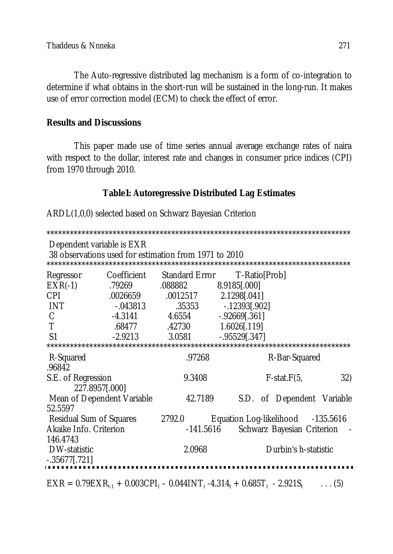The Auto-regressive distributed lag mechanism is a form of co-integration to determine if what obtains in the short-run will be sustained in the long-run. It makes use of error correction model (ECM) to check the effect of error.

### **Results and Discussions**

This paper made use of time series annual average exchange rates of naira with respect to the dollar, interest rate and changes in consumer price indices (CPI) from 1970 through 2010.

# **Table1: Autoregressive Distributed Lag Estimates**

ARDL(1,0,0) selected based on Schwarz Bayesian Criterion

\*\*\*\*\*\*\*\*\*\*\*\*\*\*\*\*\*\*\*\*\*\*\*\*\*\*\*\*\*\*\*\*\*\*\*\*\*\*\*\*\*\*\*\*\*\*\*\*\*\*\*\*\*\*\*\*\*\*\*\*\*\*\*\*\*\*\*\*\*\*\*\*\*\*\*\*\*\* Dependent variable is EXR 38 observations used for estimation from 1971 to 2010 \*\*\*\*\*\*\*\*\*\*\*\*\*\*\*\*\*\*\*\*\*\*\*\*\*\*\*\*\*\*\*\*\*\*\*\*\*\*\*\*\*\*\*\*\*\*\*\*\*\*\*\*\*\*\*\*\*\*\*\*\*\*\*\*\*\*\*\*\*\*\*\*\*\*\*\*\*\* Regressor Coefficient Standard Error T-Ratio[Prob]<br>EXR(-1) 79269 .088882 8.9185[.000] .79269 .088882<br>.0026659 .0012517 CPI .0026659 .0012517 2.1298[.041] INT -.043813 .35353 -.12393[.902]  $\begin{array}{cccc}\n C & -4.3141 & 4.6554 & -92669[.361] \\
\hline\n T & 68477 & 42730 & 1.6026[.119]\n\end{array}$ T .68477 .42730 1.6026[.119] S1 -2.9213 3.0581 -.95529[.347] \*\*\*\*\*\*\*\*\*\*\*\*\*\*\*\*\*\*\*\*\*\*\*\*\*\*\*\*\*\*\*\*\*\*\*\*\*\*\*\*\*\*\*\*\*\*\*\*\*\*\*\*\*\*\*\*\*\*\*\*\*\*\*\*\*\*\*\*\*\*\*\*\*\*\*\*\*\* R-Bar-Squared .96842 S.E. of Regression 6. 32 and 5.3408 F-stat.F(5, 32) 227.8957[.000] Mean of Dependent Variable 42.7189 S.D. of Dependent Variable 52.5597 Residual Sum of Squares 2792.0 Equation Log-likelihood -135.5616 Akaike Info. Criterion **Face Scholl** 141.5616 Schwarz Bayesian Criterion -146.4743<br>DW-statistic DW-statistic 2.0968 Durbin's h-statistic -.35677[.721]  $\text{EXR} = 0.79 \text{EXR}_{t-1} + 0.003 \text{CPI}_t - 0.0441 \text{NT}_t - 4.314_t + 0.685 \text{T}_t - 2.921 \text{S}_t$  ...(5)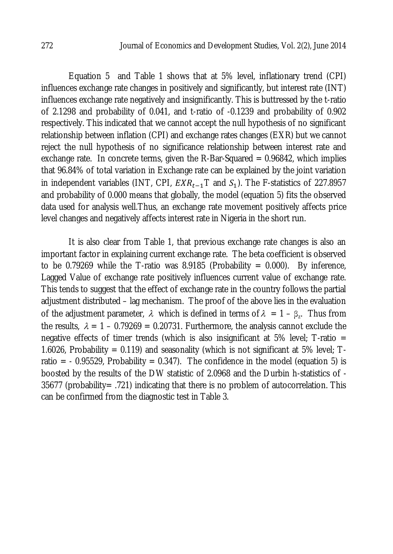Equation 5 and Table 1 shows that at 5% level, inflationary trend (CPI) influences exchange rate changes in positively and significantly, but interest rate (INT) influences exchange rate negatively and insignificantly. This is buttressed by the t-ratio of 2.1298 and probability of 0.041, and t-ratio of -0.1239 and probability of 0.902 respectively. This indicated that we cannot accept the null hypothesis of no significant relationship between inflation (CPI) and exchange rates changes (EXR) but we cannot reject the null hypothesis of no significance relationship between interest rate and exchange rate. In concrete terms, given the R-Bar-Squared  $= 0.96842$ , which implies that 96.84% of total variation in Exchange rate can be explained by the joint variation in independent variables (INT, CPI,  $EXR_{t-1}$ T and  $S_1$ ). The F-statistics of 227.8957 and probability of 0.000 means that globally, the model (equation 5) fits the observed data used for analysis well.Thus, an exchange rate movement positively affects price level changes and negatively affects interest rate in Nigeria in the short run.

It is also clear from Table 1, that previous exchange rate changes is also an important factor in explaining current exchange rate. The beta coefficient is observed to be 0.79269 while the T-ratio was 8.9185 (Probability = 0.000). By inference, Lagged Value of exchange rate positively influences current value of exchange rate. This tends to suggest that the effect of exchange rate in the country follows the partial adjustment distributed – lag mechanism. The proof of the above lies in the evaluation of the adjustment parameter,  $\lambda$  which is defined in terms of  $\lambda = 1 - \beta_z$ . Thus from the results,  $\lambda = 1 - 0.79269 = 0.20731$ . Furthermore, the analysis cannot exclude the negative effects of timer trends (which is also insignificant at 5% level; T-ratio  $=$ 1.6026, Probability = 0.119) and seasonality (which is not significant at 5% level;  $T$ ratio =  $-0.95529$ , Probability = 0.347). The confidence in the model (equation 5) is boosted by the results of the DW statistic of 2.0968 and the Durbin h-statistics of -  $35677$  (probability = .721) indicating that there is no problem of autocorrelation. This can be confirmed from the diagnostic test in Table 3.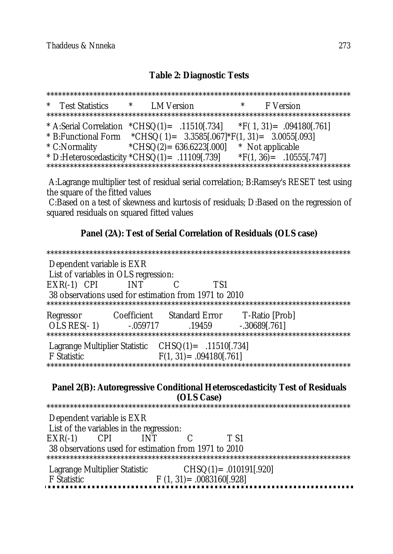### **Table 2: Diagnostic Tests**

\*\*\*\*\*\*\*\*\*\*\*\*\*\*\*\*\*\*\*\*\*\*\*\*\*\*\*\*\*\*\*\*\*\*\*\*\*\*\*\*\*\*\*\*\*\*\*\*\*\*\*\*\*\*\*\*\*\*\*\*\*\*\*\*\*\*\*\*\*\*\*\*\*\*\*\*\*\* \* Test Statistics \* LM Version \* F Version \*\*\*\*\*\*\*\*\*\*\*\*\*\*\*\*\*\*\*\*\*\*\*\*\*\*\*\*\*\*\*\*\*\*\*\*\*\*\*\*\*\*\*\*\*\*\*\*\*\*\*\*\*\*\*\*\*\*\*\*\*\*\*\*\*\*\*\*\*\*\*\*\*\*\*\*\*\* \* A:Serial Correlation  $*CHSO(1) = .11510[.734]$   $*F(1, 31) = .094180[.761]$ \* B: Functional Form \* CHSQ( $1$ ) = 3.3585[.067] \* F(1, 31) = 3.0055[.093] \* C:Normality  $+CHSQ(2) = 636.6223[.000]$  \* Not applicable \* D:Heteroscedasticity \*CHSQ(1)= .11109[.739] \*F(1, 36)= .10555[.747] \*\*\*\*\*\*\*\*\*\*\*\*\*\*\*\*\*\*\*\*\*\*\*\*\*\*\*\*\*\*\*\*\*\*\*\*\*\*\*\*\*\*\*\*\*\*\*\*\*\*\*\*\*\*\*\*\*\*\*\*\*\*\*\*\*\*\*\*\*\*\*\*\*\*\*\*\*\*

A:Lagrange multiplier test of residual serial correlation; B:Ramsey's RESET test using the square of the fitted values

C:Based on a test of skewness and kurtosis of residuals; D:Based on the regression of squared residuals on squared fitted values

### **Panel (2A): Test of Serial Correlation of Residuals (OLS case)**

\*\*\*\*\*\*\*\*\*\*\*\*\*\*\*\*\*\*\*\*\*\*\*\*\*\*\*\*\*\*\*\*\*\*\*\*\*\*\*\*\*\*\*\*\*\*\*\*\*\*\*\*\*\*\*\*\*\*\*\*\*\*\*\*\*\*\*\*\*\*\*\*\*\*\*\*\*\* Dependent variable is EXR List of variables in OLS regression: EXR(-1) CPI INT C TS1 38 observations used for estimation from 1971 to 2010 \*\*\*\*\*\*\*\*\*\*\*\*\*\*\*\*\*\*\*\*\*\*\*\*\*\*\*\*\*\*\*\*\*\*\*\*\*\*\*\*\*\*\*\*\*\*\*\*\*\*\*\*\*\*\*\*\*\*\*\*\*\*\*\*\*\*\*\*\*\*\*\*\*\*\*\*\*\* Regressor Coefficient Standard Error T-Ratio [Prob] OLS RES(-1) -.059717 .19459 -.30689[.761] \*\*\*\*\*\*\*\*\*\*\*\*\*\*\*\*\*\*\*\*\*\*\*\*\*\*\*\*\*\*\*\*\*\*\*\*\*\*\*\*\*\*\*\*\*\*\*\*\*\*\*\*\*\*\*\*\*\*\*\*\*\*\*\*\*\*\*\*\*\*\*\*\*\*\*\*\*\* Lagrange Multiplier Statistic CHSQ(1)= .11510[.734]  $F(1, 31) = .094180[.761]$ \*\*\*\*\*\*\*\*\*\*\*\*\*\*\*\*\*\*\*\*\*\*\*\*\*\*\*\*\*\*\*\*\*\*\*\*\*\*\*\*\*\*\*\*\*\*\*\*\*\*\*\*\*\*\*\*\*\*\*\*\*\*\*\*\*\*\*\*\*\*\*\*\*\*\*\*\*\* **Panel 2(B): Autoregressive Conditional Heteroscedasticity Test of Residuals (OLS Case)** \*\*\*\*\*\*\*\*\*\*\*\*\*\*\*\*\*\*\*\*\*\*\*\*\*\*\*\*\*\*\*\*\*\*\*\*\*\*\*\*\*\*\*\*\*\*\*\*\*\*\*\*\*\*\*\*\*\*\*\*\*\*\*\*\*\*\*\*\*\*\*\*\*\*\*\*\*\* Dependent variable is EXR List of the variables in the regression: EXR(-1) CPI INT C T S1 38 observations used for estimation from 1971 to 2010 \*\*\*\*\*\*\*\*\*\*\*\*\*\*\*\*\*\*\*\*\*\*\*\*\*\*\*\*\*\*\*\*\*\*\*\*\*\*\*\*\*\*\*\*\*\*\*\*\*\*\*\*\*\*\*\*\*\*\*\*\*\*\*\*\*\*\*\*\*\*\*\*\*\*\*\*\*\* Lagrange Multiplier Statistic  $\begin{array}{c} \text{CHSO}(1) = .010191[.920] \\ \text{F Statistic} \end{array}$ F Statistic F (1, 31)= .0083160[.928]......................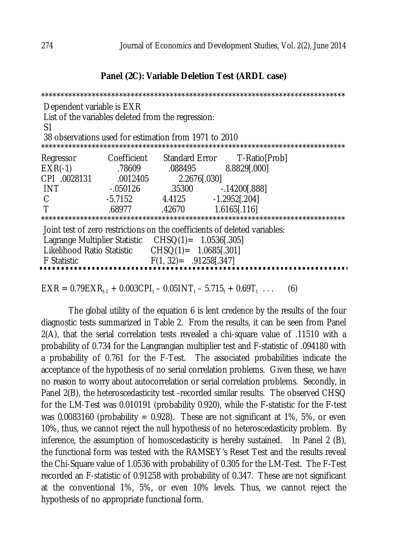#### **Panel (2C): Variable Deletion Test (ARDL case)**

| Dependent variable is EXR<br>List of the variables deleted from the regression:<br>S1<br>38 observations used for estimation from 1971 to 2010 |           |                            |                                          |  |  |  |
|------------------------------------------------------------------------------------------------------------------------------------------------|-----------|----------------------------|------------------------------------------|--|--|--|
| Regressor                                                                                                                                      |           |                            | Coefficient Standard Error T-Ratio[Prob] |  |  |  |
| $EXR(-1)$                                                                                                                                      |           | 78609 .088495 8.8829[.000] |                                          |  |  |  |
| CPI .0028131                                                                                                                                   |           | .0012405 2.2676[.030]      |                                          |  |  |  |
| <b>INT</b>                                                                                                                                     | $-050126$ |                            |                                          |  |  |  |
| C                                                                                                                                              |           | -5.7152 4.4125             | $-1.2952$ [.204]                         |  |  |  |
|                                                                                                                                                |           | .68977 .42670              | $1.6165$ [.116]                          |  |  |  |
|                                                                                                                                                |           |                            |                                          |  |  |  |
| Joint test of zero restrictions on the coefficients of deleted variables:                                                                      |           |                            |                                          |  |  |  |
| Lagrange Multiplier Statistic CHSQ(1) = 1.0536[.305]                                                                                           |           |                            |                                          |  |  |  |
| Likelihood Ratio Statistic $CHSO(1) = 1.0685[.301]$                                                                                            |           |                            |                                          |  |  |  |
| F Statistic                                                                                                                                    |           | $F(1, 32) = .91258[.347]$  |                                          |  |  |  |
|                                                                                                                                                |           |                            |                                          |  |  |  |
| $EXR = 0.79EXR_{t,1} + 0.003CPI_t - 0.05INT_t - 5.715_t + 0.69T_t$<br>(6)                                                                      |           |                            |                                          |  |  |  |

The global utility of the equation 6 is lent credence by the results of the four diagnostic tests summarized in Table 2. From the results, it can be seen from Panel 2(A), that the serial correlation tests revealed a chi-square value of .11510 with a probability of 0.734 for the Langrangian multiplier test and F-statistic of .094180 with a probability of 0.761 for the F-Test. The associated probabilities indicate the acceptance of the hypothesis of no serial correlation problems. Given these, we have no reason to worry about autocorrelation or serial correlation problems. Secondly, in Panel 2(B), the heteroscedasticity test -recorded similar results. The observed CHSQ for the LM-Test was 0.010191 (probability 0.920), while the F-statistic for the F-test was 0.0083160 (probability = 0.928). These are not significant at 1%, 5%, or even 10%, thus, we cannot reject the null hypothesis of no heteroscedasticity problem. By inference, the assumption of homoscedasticity is hereby sustained. In Panel 2 (B), the functional form was tested with the RAMSEY's Reset Test and the results reveal the Chi-Square value of 1.0536 with probability of 0.305 for the LM-Test. The F-Test recorded an F-statistic of 0.91258 with probability of 0.347. These are not significant at the conventional 1%, 5%, or even 10% levels. Thus, we cannot reject the hypothesis of no appropriate functional form.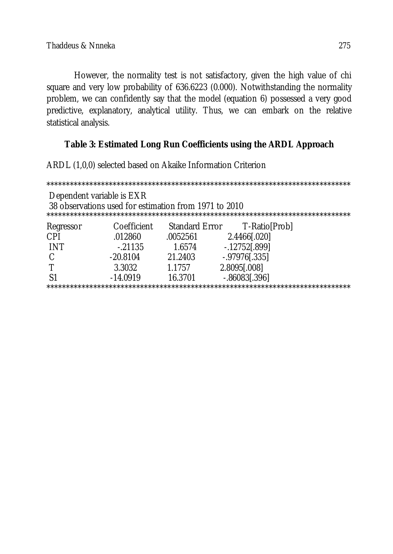However, the normality test is not satisfactory, given the high value of chi square and very low probability of 636.6223 (0.000). Notwithstanding the normality problem, we can confidently say that the model (equation 6) possessed a very good predictive, explanatory, analytical utility. Thus, we can embark on the relative statistical analysis.

# **Table 3: Estimated Long Run Coefficients using the ARDL Approach**

ARDL (1,0,0) selected based on Akaike Information Criterion

| Dependent variable is EXR<br>38 observations used for estimation from 1971 to 2010 |             |          |                               |  |  |  |
|------------------------------------------------------------------------------------|-------------|----------|-------------------------------|--|--|--|
| Regressor                                                                          | Coefficient |          | Standard Error T-Ratio [Prob] |  |  |  |
| CPI                                                                                | .012860     | .0052561 | 2.4466[.020]                  |  |  |  |
| <b>INT</b>                                                                         | $-21135$    | 1.6574   | $-0.12752[0.899]$             |  |  |  |
| C                                                                                  | $-20.8104$  | 21.2403  | $-0.97976[0.335]$             |  |  |  |
|                                                                                    | 3.3032      | 1.1757   | 2.8095[.008]                  |  |  |  |
|                                                                                    | $-14.0919$  | 16.3701  | $-0.86083[0.396]$             |  |  |  |
| **********************                                                             |             |          |                               |  |  |  |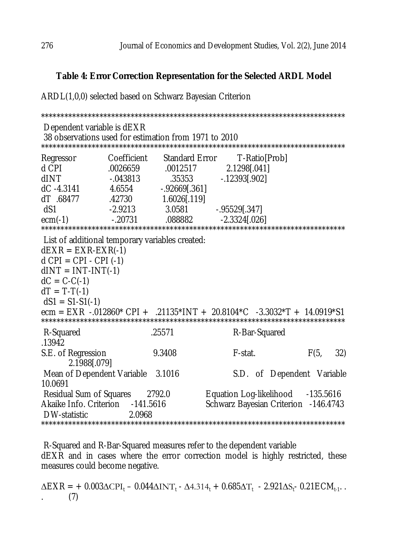# **Table 4: Error Correction Representation for the Selected ARDL Model**

ARDL(1,0,0) selected based on Schwarz Bayesian Criterion \*\*\*\*\*\*\*\*\*\*\*\*\*\*\*\*\*\*\*\*\*\*\*\*\*\*\*\*\*\*\*\*\*\*\*\*\*\*\*\*\*\*\*\*\*\*\*\*\*\*\*\*\*\*\*\*\*\*\*\*\*\*\*\*\*\*\*\*\*\*\*\*\*\*\*\*\*\* Dependent variable is dEXR 38 observations used for estimation from 1971 to 2010 \*\*\*\*\*\*\*\*\*\*\*\*\*\*\*\*\*\*\*\*\*\*\*\*\*\*\*\*\*\*\*\*\*\*\*\*\*\*\*\*\*\*\*\*\*\*\*\*\*\*\*\*\*\*\*\*\*\*\*\*\*\*\*\*\*\*\*\*\*\*\*\*\*\*\*\*\*\* Regressor Coefficient Standard Error T-Ratio[Prob] d CPI .0026659 .0012517 2.1298[.041] dINT -.043813 .35353 -.12393[.902]<br>dC -4.3141 4.6554 -.92669[.361] dC -4.3141 4.6554 -.92669[.361]<br>dT .68477 .42730 1.6026[.119] 1.6026[.119] dS1 -2.9213 3.0581 -.95529[.347] ecm(-1) -.20731 .088882 -2.3324[.026] \*\*\*\*\*\*\*\*\*\*\*\*\*\*\*\*\*\*\*\*\*\*\*\*\*\*\*\*\*\*\*\*\*\*\*\*\*\*\*\*\*\*\*\*\*\*\*\*\*\*\*\*\*\*\*\*\*\*\*\*\*\*\*\*\*\*\*\*\*\*\*\*\*\*\*\*\*\* List of additional temporary variables created:  $dEXR = EXR-EXR(-1)$  $d$  CPI = CPI - CPI (-1)  $dINT = INT-INT(-1)$  $dC = C - C(-1)$  $dT = T - T(-1)$  $dS1 = S1-S1(-1)$ ecm = EXR -.012860\* CPI + .21135\*INT + 20.8104\*C -3.3032\*T + 14.0919\*S1 \*\*\*\*\*\*\*\*\*\*\*\*\*\*\*\*\*\*\*\*\*\*\*\*\*\*\*\*\*\*\*\*\*\*\*\*\*\*\*\*\*\*\*\*\*\*\*\*\*\*\*\*\*\*\*\*\*\*\*\*\*\*\*\*\*\*\*\*\*\*\*\*\*\*\*\*\*\* R-Squared .25571 R-Bar-Squared .13942 S.E. of Regression 8.3408 F-stat. F(5, 32) 2.1988[.079] Mean of Dependent Variable 3.1016 S.D. of Dependent Variable 10.0691 Residual Sum of Squares 2792.0 Equation Log-likelihood -135.5616<br>Akaike Info. Criterion -141.5616 Akaike Info. Criterion - 141.5616 Schwarz Bayesian Criterion - 146.4743 DW-statistic 2.0968 \*\*\*\*\*\*\*\*\*\*\*\*\*\*\*\*\*\*\*\*\*\*\*\*\*\*\*\*\*\*\*\*\*\*\*\*\*\*\*\*\*\*\*\*\*\*\*\*\*\*\*\*\*\*\*\*\*\*\*\*\*\*\*\*\*\*\*\*\*\*\*\*\*\*\*\*\*\*

R-Squared and R-Bar-Squared measures refer to the dependent variable dEXR and in cases where the error correction model is highly restricted, these measures could become negative.

 $\Delta \textsf{EXR} = +$  0.003 $\Delta \text{CPI}_\text{t}$  – 0.044 $\Delta \text{INT}_\text{t}$  -  $\Delta 4.314_\text{t}$  + 0.685 $\Delta \text{T}_\text{t}$  - 2.921 $\Delta \text{S}_\text{t}$ - 0.21ECM $_{\text{t-1}}$ .. . (7)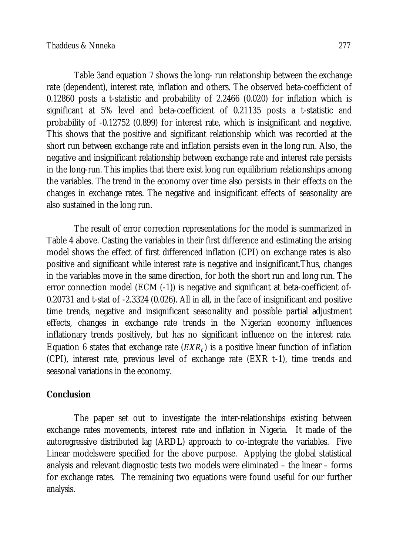Table 3and equation 7 shows the long- run relationship between the exchange rate (dependent), interest rate, inflation and others. The observed beta-coefficient of 0.12860 posts a t-statistic and probability of 2.2466 (0.020) for inflation which is significant at 5% level and beta-coefficient of 0.21135 posts a t-statistic and probability of -0.12752 (0.899) for interest rate, which is insignificant and negative. This shows that the positive and significant relationship which was recorded at the short run between exchange rate and inflation persists even in the long run. Also, the negative and insignificant relationship between exchange rate and interest rate persists in the long-run. This implies that there exist long run equilibrium relationships among the variables. The trend in the economy over time also persists in their effects on the changes in exchange rates. The negative and insignificant effects of seasonality are also sustained in the long run.

The result of error correction representations for the model is summarized in Table 4 above. Casting the variables in their first difference and estimating the arising model shows the effect of first differenced inflation (CPI) on exchange rates is also positive and significant while interest rate is negative and insignificant.Thus, changes in the variables move in the same direction, for both the short run and long run. The error connection model (ECM (-1)) is negative and significant at beta-coefficient of-0.20731 and t-stat of -2.3324 (0.026). All in all, in the face of insignificant and positive time trends, negative and insignificant seasonality and possible partial adjustment effects, changes in exchange rate trends in the Nigerian economy influences inflationary trends positively, but has no significant influence on the interest rate. Equation 6 states that exchange rate  $(EXR_t)$  is a positive linear function of inflation (CPI), interest rate, previous level of exchange rate (EXR t-1), time trends and seasonal variations in the economy.

# **Conclusion**

The paper set out to investigate the inter-relationships existing between exchange rates movements, interest rate and inflation in Nigeria. It made of the autoregressive distributed lag (ARDL) approach to co-integrate the variables. Five Linear modelswere specified for the above purpose. Applying the global statistical analysis and relevant diagnostic tests two models were eliminated – the linear – forms for exchange rates. The remaining two equations were found useful for our further analysis.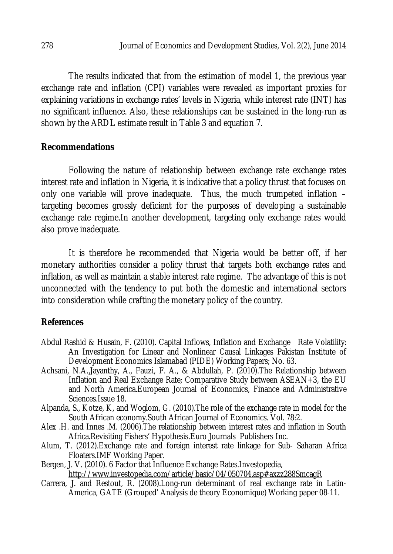The results indicated that from the estimation of model 1, the previous year exchange rate and inflation (CPI) variables were revealed as important proxies for explaining variations in exchange rates' levels in Nigeria, while interest rate (INT) has no significant influence. Also, these relationships can be sustained in the long-run as shown by the ARDL estimate result in Table 3 and equation 7.

# **Recommendations**

Following the nature of relationship between exchange rate exchange rates interest rate and inflation in Nigeria, it is indicative that a policy thrust that focuses on only one variable will prove inadequate. Thus, the much trumpeted inflation – targeting becomes grossly deficient for the purposes of developing a sustainable exchange rate regime.In another development, targeting only exchange rates would also prove inadequate.

It is therefore be recommended that Nigeria would be better off, if her monetary authorities consider a policy thrust that targets both exchange rates and inflation, as well as maintain a stable interest rate regime. The advantage of this is not unconnected with the tendency to put both the domestic and international sectors into consideration while crafting the monetary policy of the country.

# **References**

- Abdul Rashid & Husain, F. (2010). Capital Inflows, Inflation and Exchange Rate Volatility: An Investigation for Linear and Nonlinear Causal Linkages Pakistan Institute of Development Economics Islamabad (PIDE) Working Papers; No. 63.
- Achsani, N.A.,Jayanthy, A., Fauzi, F. A., & Abdullah, P. (2010).The Relationship between Inflation and Real Exchange Rate; Comparative Study between ASEAN+3, the EU and North America.European Journal of Economics, Finance and Administrative Sciences.Issue 18.
- Alpanda, S., Kotze, K, and Woglom, G. (2010).The role of the exchange rate in model for the South African economy.South African Journal of Economics. Vol. 78:2.
- Alex .H. and Innes .M. (2006).The relationship between interest rates and inflation in South Africa.Revisiting Fishers' Hypothesis.Euro Journals Publishers Inc.
- Alum, T. (2012).Exchange rate and foreign interest rate linkage for Sub- Saharan Africa Floaters.IMF Working Paper.
- Bergen, J. V. (2010). 6 Factor that Influence Exchange Rates.Investopedia, http://www.investopedia.com/article/basic/04/050704.asp#axzz288SmcagR
- Carrera, J. and Restout, R. (2008).Long-run determinant of real exchange rate in Latin-America, GATE (Grouped' Analysis de theory Economique) Working paper 08-11.